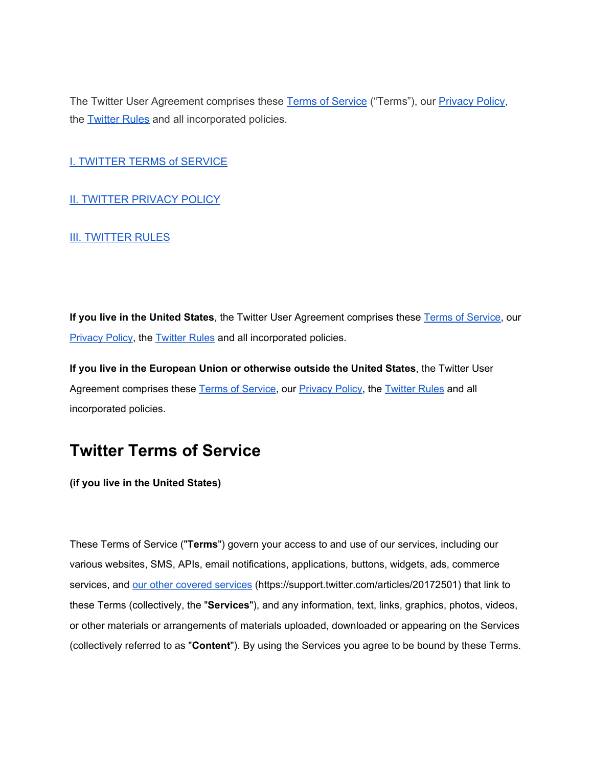The Twitter User Agreement comprises these Terms of [Service](https://twitter.com/tos) ("Terms"), our [Privacy](https://twitter.com/privacy) Policy, the [Twitter](https://support.twitter.com/articles/18311) Rules and all incorporated policies.

I. [TWITTER](#page-0-0) TERMS of SERVICE

II. [TWITTER](#page-17-0) PRIVACY POLICY

**III. [TWITTER](#page-27-0) RULES** 

**If you live in the United States**, the Twitter User Agreement comprises thes[e](#page-0-0) [Terms of Service,](#page-0-0) ou[r](#page-17-0) [Privacy Policy,](#page-17-0) the [Twitter Rules](#page-27-0) and all incorporated policies.

**If you live in the European Union or otherwise outside the United States**, the Twitter User Agr[e](#page-27-0)ement comprises these [Terms of Service,](#page-8-0) our [Privacy Policy,](#page-17-0) the [Twitter Rules](#page-27-0) and all incorporated policies.

# <span id="page-0-0"></span>**Twitter Terms of Service**

**(if you live in the United States)**

These Terms of Service ("**Terms**") govern your access to and use of our services, including our various websites, SMS, APIs, email notifications, applications, buttons, widgets, ads, commerce services, and [our other covered services](https://support.twitter.com/articles/20172501) (https://support.twitter.com/articles/20172501) that link to these Terms (collectively, the "**Services**"), and any information, text, links, graphics, photos, videos, or other materials or arrangements of materials uploaded, downloaded or appearing on the Services (collectively referred to as "**Content**"). By using the Services you agree to be bound by these Terms.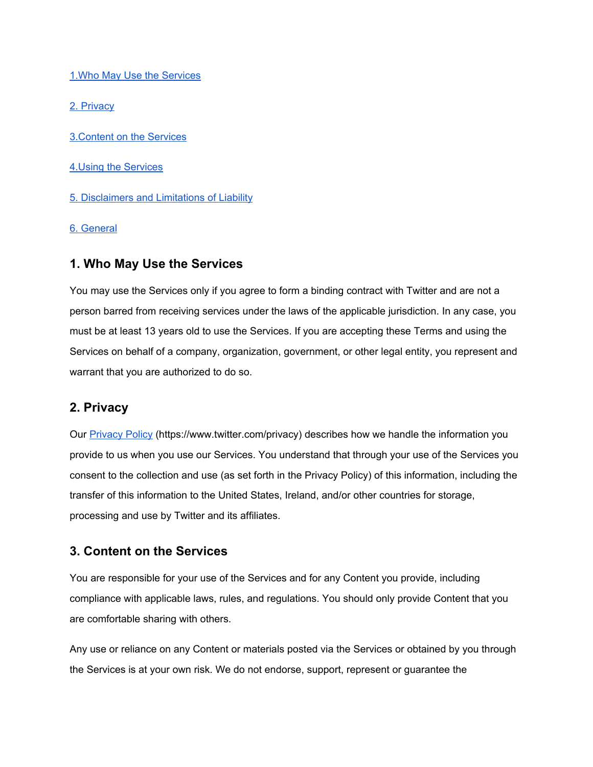[1.Who May Use the Services](https://gazebo-preflight.smf1.twitter.com/tos?lang=en#usWho)

[2. Privacy](https://gazebo-preflight.smf1.twitter.com/tos?lang=en#usPrivacy)

[3.Content on the Services](https://gazebo-preflight.smf1.twitter.com/tos?lang=en#usContent)

[4.Using the Services](https://gazebo-preflight.smf1.twitter.com/tos?lang=en#usUsing)

[5. Disclaimers and Limitations of Liability](https://gazebo-preflight.smf1.twitter.com/tos?lang=en#usDisclaimers)

[6. General](https://gazebo-preflight.smf1.twitter.com/tos?lang=en#usGeneral)

## **1. Who May Use the Services**

You may use the Services only if you agree to form a binding contract with Twitter and are not a person barred from receiving services under the laws of the applicable jurisdiction. In any case, you must be at least 13 years old to use the Services. If you are accepting these Terms and using the Services on behalf of a company, organization, government, or other legal entity, you represent and warrant that you are authorized to do so.

## **2. Privacy**

Our [Privacy Policy](https://twitter.com/privacy) (https://www.twitter.com/privacy) describes how we handle the information you provide to us when you use our Services. You understand that through your use of the Services you consent to the collection and use (as set forth in the Privacy Policy) of this information, including the transfer of this information to the United States, Ireland, and/or other countries for storage, processing and use by Twitter and its affiliates.

## **3. Content on the Services**

You are responsible for your use of the Services and for any Content you provide, including compliance with applicable laws, rules, and regulations. You should only provide Content that you are comfortable sharing with others.

Any use or reliance on any Content or materials posted via the Services or obtained by you through the Services is at your own risk. We do not endorse, support, represent or guarantee the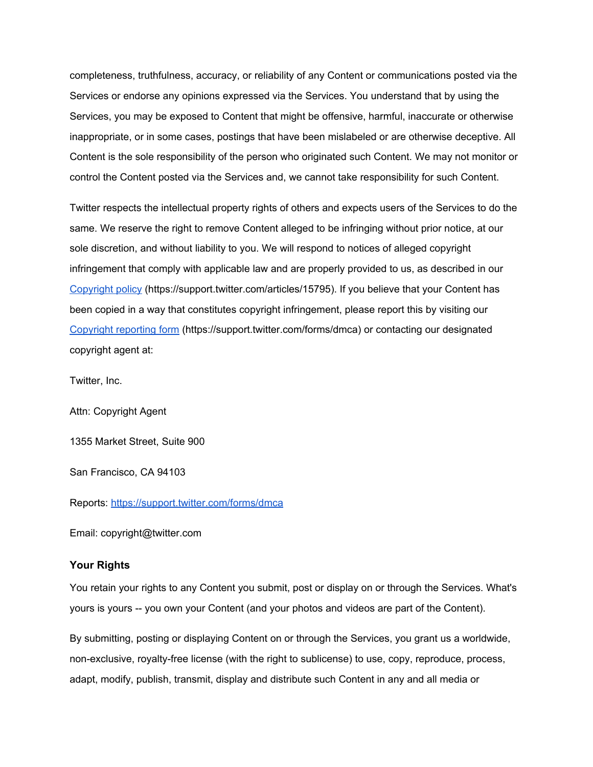completeness, truthfulness, accuracy, or reliability of any Content or communications posted via the Services or endorse any opinions expressed via the Services. You understand that by using the Services, you may be exposed to Content that might be offensive, harmful, inaccurate or otherwise inappropriate, or in some cases, postings that have been mislabeled or are otherwise deceptive. All Content is the sole responsibility of the person who originated such Content. We may not monitor or control the Content posted via the Services and, we cannot take responsibility for such Content.

Twitter respects the intellectual property rights of others and expects users of the Services to do the same. We reserve the right to remove Content alleged to be infringing without prior notice, at our sole discretion, and without liability to you. We will respond to notices of alleged copyright infringement that comply with applicable law and are properly provided to us, as described in ou[r](https://support.twitter.com/articles/15795) [Copyright policy](https://support.twitter.com/articles/15795) (https://support.twitter.com/articles/15795). If you believe that your Content has been copied in a way that constitutes copyright infringement, please report this by visiting ou[r](https://support.twitter.com/forms/dmca) [Copyright reporting form](https://support.twitter.com/forms/dmca) (https://support.twitter.com/forms/dmca) or contacting our designated copyright agent at:

Twitter, Inc.

Attn: Copyright Agent

1355 Market Street, Suite 900

San Francisco, CA 94103

Reports[:](https://support.twitter.com/forms/dmca) <https://support.twitter.com/forms/dmca>

Email: copyright@twitter.com

#### **Your Rights**

You retain your rights to any Content you submit, post or display on or through the Services. What's yours is yours -- you own your Content (and your photos and videos are part of the Content).

By submitting, posting or displaying Content on or through the Services, you grant us a worldwide, non-exclusive, royalty-free license (with the right to sublicense) to use, copy, reproduce, process, adapt, modify, publish, transmit, display and distribute such Content in any and all media or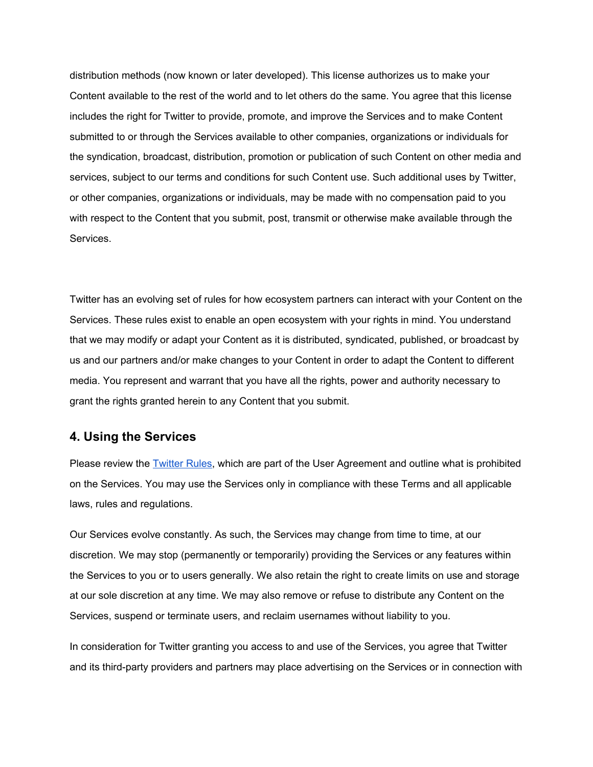distribution methods (now known or later developed). This license authorizes us to make your Content available to the rest of the world and to let others do the same. You agree that this license includes the right for Twitter to provide, promote, and improve the Services and to make Content submitted to or through the Services available to other companies, organizations or individuals for the syndication, broadcast, distribution, promotion or publication of such Content on other media and services, subject to our terms and conditions for such Content use. Such additional uses by Twitter, or other companies, organizations or individuals, may be made with no compensation paid to you with respect to the Content that you submit, post, transmit or otherwise make available through the Services.

Twitter has an evolving set of rules for how ecosystem partners can interact with your Content on the Services. These rules exist to enable an open ecosystem with your rights in mind. You understand that we may modify or adapt your Content as it is distributed, syndicated, published, or broadcast by us and our partners and/or make changes to your Content in order to adapt the Content to different media. You represent and warrant that you have all the rights, power and authority necessary to grant the rights granted herein to any Content that you submit.

# **4. Using the Services**

Pl[e](https://twitter.com/rules)ase review the **Twitter Rules**, which are part of the User Agreement and outline what is prohibited on the Services. You may use the Services only in compliance with these Terms and all applicable laws, rules and regulations.

Our Services evolve constantly. As such, the Services may change from time to time, at our discretion. We may stop (permanently or temporarily) providing the Services or any features within the Services to you or to users generally. We also retain the right to create limits on use and storage at our sole discretion at any time. We may also remove or refuse to distribute any Content on the Services, suspend or terminate users, and reclaim usernames without liability to you.

In consideration for Twitter granting you access to and use of the Services, you agree that Twitter and its third-party providers and partners may place advertising on the Services or in connection with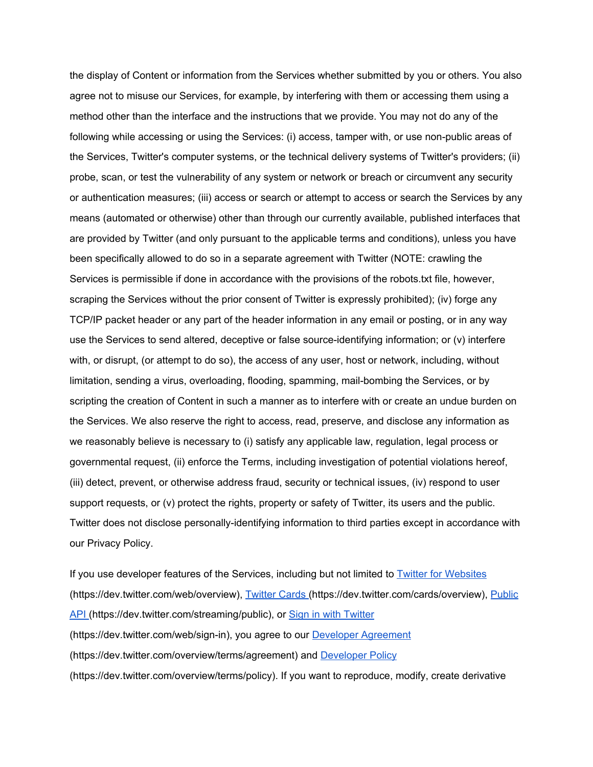the display of Content or information from the Services whether submitted by you or others. You also agree not to misuse our Services, for example, by interfering with them or accessing them using a method other than the interface and the instructions that we provide. You may not do any of the following while accessing or using the Services: (i) access, tamper with, or use non-public areas of the Services, Twitter's computer systems, or the technical delivery systems of Twitter's providers; (ii) probe, scan, or test the vulnerability of any system or network or breach or circumvent any security or authentication measures; (iii) access or search or attempt to access or search the Services by any means (automated or otherwise) other than through our currently available, published interfaces that are provided by Twitter (and only pursuant to the applicable terms and conditions), unless you have been specifically allowed to do so in a separate agreement with Twitter (NOTE: crawling the Services is permissible if done in accordance with the provisions of the robots.txt file, however, scraping the Services without the prior consent of Twitter is expressly prohibited); (iv) forge any TCP/IP packet header or any part of the header information in any email or posting, or in any way use the Services to send altered, deceptive or false source-identifying information; or (v) interfere with, or disrupt, (or attempt to do so), the access of any user, host or network, including, without limitation, sending a virus, overloading, flooding, spamming, mail-bombing the Services, or by scripting the creation of Content in such a manner as to interfere with or create an undue burden on the Services. We also reserve the right to access, read, preserve, and disclose any information as we reasonably believe is necessary to (i) satisfy any applicable law, regulation, legal process or governmental request, (ii) enforce the Terms, including investigation of potential violations hereof, (iii) detect, prevent, or otherwise address fraud, security or technical issues, (iv) respond to user support requests, or (v) protect the rights, property or safety of Twitter, its users and the public. Twitter does not disclose personally-identifying information to third parties except in accordance with our Privacy Policy.

If y[o](https://dev.twitter.com/web/overview)u use developer features of the Services, including but not limited to **[Twitter for Websites](https://dev.twitter.com/web/overview)** (https://dev.twitter.com/web/overview), [Twitter Cards](https://dev.twitter.com/cards/overview) (https://dev.twitter.com/cards/overview)[,](https://dev.twitter.com/streaming/public) [Public](https://dev.twitter.com/streaming/public) [API](https://dev.twitter.com/streaming/public) (https://dev.twitter.com/streaming/public), o[r](https://dev.twitter.com/streaming/public) [Sign in with Twitter](https://dev.twitter.com/streaming/public) (https://dev.twitter.com/web/sign-in), you agree to ou[r](https://dev.twitter.com/overview/terms/agreement) [Developer Agreement](https://dev.twitter.com/overview/terms/agreement) (https://dev.twitter.com/overview/terms/agreement) and [Developer Policy](https://dev.twitter.com/overview/terms/agreement) (https://dev.twitter.com/overview/terms/policy). If you want to reproduce, modify, create derivative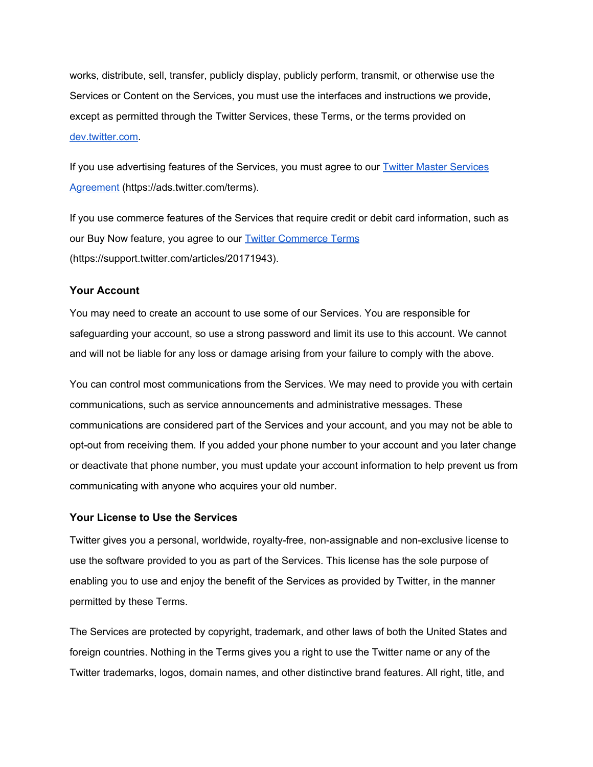works, distribute, sell, transfer, publicly display, publicly perform, transmit, or otherwise use the Services or Content on the Services, you must use the interfaces and instructions we provide, except as permitted through the Twitter Services, these Terms, or the terms provided on [dev.twitter.com.](https://dev.twitter.com/)

If you use advertising features of the Services, you must agree to our [Twitter Master Services](https://ads.twitter.com/terms) [Agreement](https://ads.twitter.com/terms) (https://ads.twitter.com/terms).

If you use commerce features of the Services that require credit or debit card information, such as our Buy Now feature, you agree to our **[Twitter Commerce Terms](https://support.twitter.com/articles/20171943)** (https://support.twitter.com/articles/20171943).

#### **Your Account**

You may need to create an account to use some of our Services. You are responsible for safeguarding your account, so use a strong password and limit its use to this account. We cannot and will not be liable for any loss or damage arising from your failure to comply with the above.

You can control most communications from the Services. We may need to provide you with certain communications, such as service announcements and administrative messages. These communications are considered part of the Services and your account, and you may not be able to opt-out from receiving them. If you added your phone number to your account and you later change or deactivate that phone number, you must update your account information to help prevent us from communicating with anyone who acquires your old number.

#### **Your License to Use the Services**

Twitter gives you a personal, worldwide, royalty-free, non-assignable and non-exclusive license to use the software provided to you as part of the Services. This license has the sole purpose of enabling you to use and enjoy the benefit of the Services as provided by Twitter, in the manner permitted by these Terms.

The Services are protected by copyright, trademark, and other laws of both the United States and foreign countries. Nothing in the Terms gives you a right to use the Twitter name or any of the Twitter trademarks, logos, domain names, and other distinctive brand features. All right, title, and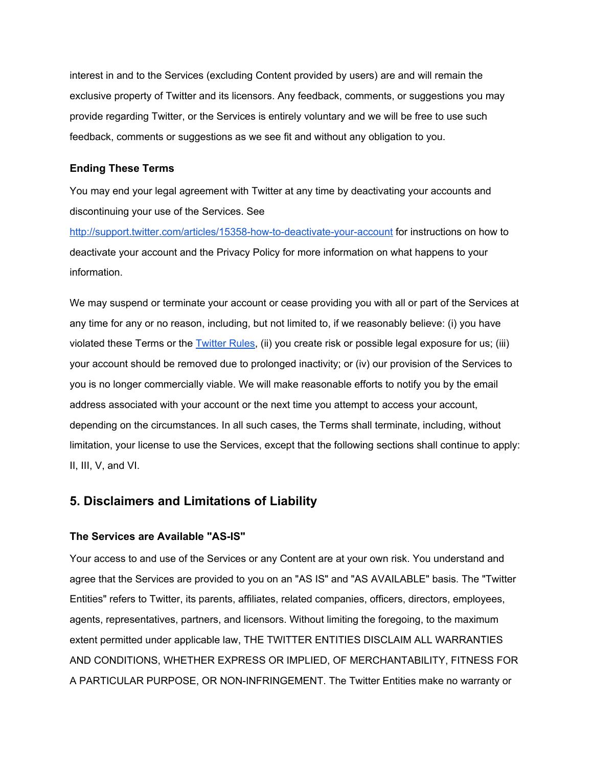interest in and to the Services (excluding Content provided by users) are and will remain the exclusive property of Twitter and its licensors. Any feedback, comments, or suggestions you may provide regarding Twitter, or the Services is entirely voluntary and we will be free to use such feedback, comments or suggestions as we see fit and without any obligation to you.

#### **Ending These Terms**

You may end your legal agreement with Twitter at any time by deactivating your accounts and discontinuing your use of the Services. Se[e](http://support.twitter.com/articles/15358-how-to-deactivate-your-account)

<http://support.twitter.com/articles/15358-how-to-deactivate-your-account>for instructions on how to deactivate your account and the Privacy Policy for more information on what happens to your information.

We may suspend or terminate your account or cease providing you with all or part of the Services at any time for any or no reason, including, but not limited to, if we reasonably believe: (i) you have violat[e](https://twitter.com/rules)d these Terms or the **Twitter Rules**, (ii) you create risk or possible legal exposure for us; (iii) your account should be removed due to prolonged inactivity; or (iv) our provision of the Services to you is no longer commercially viable. We will make reasonable efforts to notify you by the email address associated with your account or the next time you attempt to access your account, depending on the circumstances. In all such cases, the Terms shall terminate, including, without limitation, your license to use the Services, except that the following sections shall continue to apply: II, III, V, and VI.

# **5. Disclaimers and Limitations of Liability**

#### **The Services are Available "AS-IS"**

Your access to and use of the Services or any Content are at your own risk. You understand and agree that the Services are provided to you on an "AS IS" and "AS AVAILABLE" basis. The "Twitter Entities" refers to Twitter, its parents, affiliates, related companies, officers, directors, employees, agents, representatives, partners, and licensors. Without limiting the foregoing, to the maximum extent permitted under applicable law, THE TWITTER ENTITIES DISCLAIM ALL WARRANTIES AND CONDITIONS, WHETHER EXPRESS OR IMPLIED, OF MERCHANTABILITY, FITNESS FOR A PARTICULAR PURPOSE, OR NON-INFRINGEMENT. The Twitter Entities make no warranty or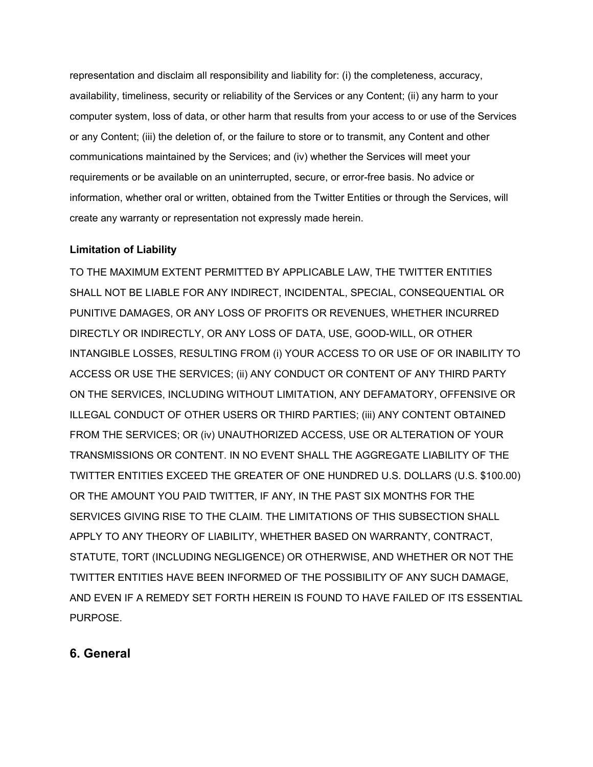representation and disclaim all responsibility and liability for: (i) the completeness, accuracy, availability, timeliness, security or reliability of the Services or any Content; (ii) any harm to your computer system, loss of data, or other harm that results from your access to or use of the Services or any Content; (iii) the deletion of, or the failure to store or to transmit, any Content and other communications maintained by the Services; and (iv) whether the Services will meet your requirements or be available on an uninterrupted, secure, or error-free basis. No advice or information, whether oral or written, obtained from the Twitter Entities or through the Services, will create any warranty or representation not expressly made herein.

#### **Limitation of Liability**

TO THE MAXIMUM EXTENT PERMITTED BY APPLICABLE LAW, THE TWITTER ENTITIES SHALL NOT BE LIABLE FOR ANY INDIRECT, INCIDENTAL, SPECIAL, CONSEQUENTIAL OR PUNITIVE DAMAGES, OR ANY LOSS OF PROFITS OR REVENUES, WHETHER INCURRED DIRECTLY OR INDIRECTLY, OR ANY LOSS OF DATA, USE, GOOD-WILL, OR OTHER INTANGIBLE LOSSES, RESULTING FROM (i) YOUR ACCESS TO OR USE OF OR INABILITY TO ACCESS OR USE THE SERVICES; (ii) ANY CONDUCT OR CONTENT OF ANY THIRD PARTY ON THE SERVICES, INCLUDING WITHOUT LIMITATION, ANY DEFAMATORY, OFFENSIVE OR ILLEGAL CONDUCT OF OTHER USERS OR THIRD PARTIES; (iii) ANY CONTENT OBTAINED FROM THE SERVICES; OR (iv) UNAUTHORIZED ACCESS, USE OR ALTERATION OF YOUR TRANSMISSIONS OR CONTENT. IN NO EVENT SHALL THE AGGREGATE LIABILITY OF THE TWITTER ENTITIES EXCEED THE GREATER OF ONE HUNDRED U.S. DOLLARS (U.S. \$100.00) OR THE AMOUNT YOU PAID TWITTER, IF ANY, IN THE PAST SIX MONTHS FOR THE SERVICES GIVING RISE TO THE CLAIM. THE LIMITATIONS OF THIS SUBSECTION SHALL APPLY TO ANY THEORY OF LIABILITY, WHETHER BASED ON WARRANTY, CONTRACT, STATUTE, TORT (INCLUDING NEGLIGENCE) OR OTHERWISE, AND WHETHER OR NOT THE TWITTER ENTITIES HAVE BEEN INFORMED OF THE POSSIBILITY OF ANY SUCH DAMAGE, AND EVEN IF A REMEDY SET FORTH HEREIN IS FOUND TO HAVE FAILED OF ITS ESSENTIAL PURPOSE.

## **6. General**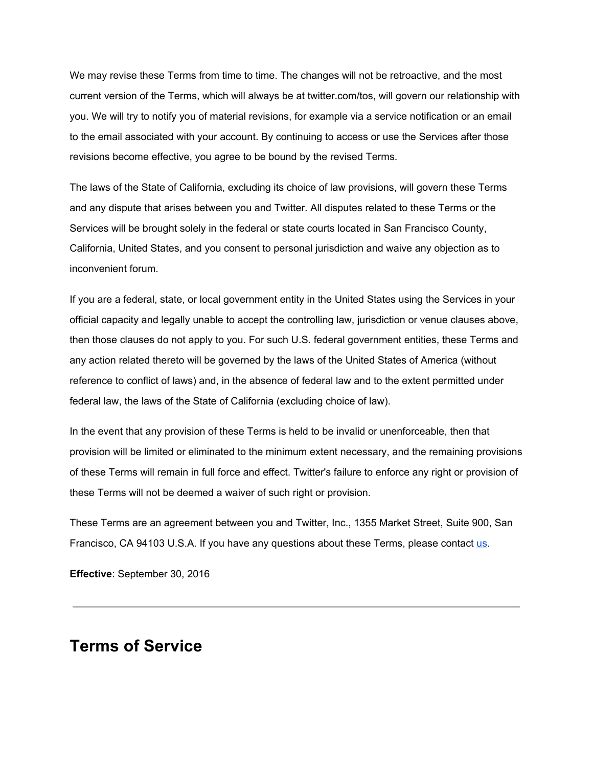We may revise these Terms from time to time. The changes will not be retroactive, and the most current version of the Terms, which will always be at twitter.com/tos, will govern our relationship with you. We will try to notify you of material revisions, for example via a service notification or an email to the email associated with your account. By continuing to access or use the Services after those revisions become effective, you agree to be bound by the revised Terms.

The laws of the State of California, excluding its choice of law provisions, will govern these Terms and any dispute that arises between you and Twitter. All disputes related to these Terms or the Services will be brought solely in the federal or state courts located in San Francisco County, California, United States, and you consent to personal jurisdiction and waive any objection as to inconvenient forum.

If you are a federal, state, or local government entity in the United States using the Services in your official capacity and legally unable to accept the controlling law, jurisdiction or venue clauses above, then those clauses do not apply to you. For such U.S. federal government entities, these Terms and any action related thereto will be governed by the laws of the United States of America (without reference to conflict of laws) and, in the absence of federal law and to the extent permitted under federal law, the laws of the State of California (excluding choice of law).

In the event that any provision of these Terms is held to be invalid or unenforceable, then that provision will be limited or eliminated to the minimum extent necessary, and the remaining provisions of these Terms will remain in full force and effect. Twitter's failure to enforce any right or provision of these Terms will not be deemed a waiver of such right or provision.

These Terms are an agreement between you and Twitter, Inc., 1355 Market Street, Suite 900, San Francisco, CA 94103 U.S.A. If you have any questions about these Terms, please contact [us.](https://support.twitter.com/forms)

**Effective**: September 30, 2016

# <span id="page-8-0"></span>**Terms of Service**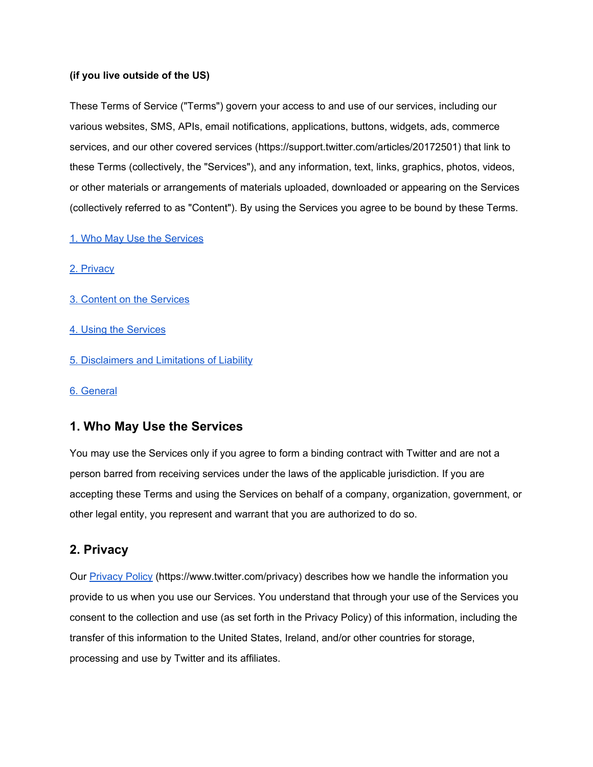#### **(if you live outside of the US)**

These Terms of Service ("Terms") govern your access to and use of our services, including our various websites, SMS, APIs, email notifications, applications, buttons, widgets, ads, commerce services, and our other covered services (https://support.twitter.com/articles/20172501) that link to these Terms (collectively, the "Services"), and any information, text, links, graphics, photos, videos, or other materials or arrangements of materials uploaded, downloaded or appearing on the Services (collectively referred to as "Content"). By using the Services you agree to be bound by these Terms.

[1. Who May Use the Services](https://gazebo-preflight.smf1.twitter.com/tos?lang=en#intlWho)

- [2. Privacy](https://gazebo-preflight.smf1.twitter.com/tos?lang=en#intlPrivacy)
- [3. Content on the Services](https://gazebo-preflight.smf1.twitter.com/tos?lang=en#intlContent)
- [4. Using the Services](https://gazebo-preflight.smf1.twitter.com/tos?lang=en#intlUsing)
- [5. Disclaimers and Limitations of Liability](https://gazebo-preflight.smf1.twitter.com/tos?lang=en#intlDisclaimers)

#### [6. General](https://gazebo-preflight.smf1.twitter.com/tos?lang=en#intlGeneral)

# **1. Who May Use the Services**

You may use the Services only if you agree to form a binding contract with Twitter and are not a person barred from receiving services under the laws of the applicable jurisdiction. If you are accepting these Terms and using the Services on behalf of a company, organization, government, or other legal entity, you represent and warrant that you are authorized to do so.

# **2. Privacy**

Our [Privacy Policy](https://twitter.com/privacy) (https://www.twitter.com/privacy) describes how we handle the information you provide to us when you use our Services. You understand that through your use of the Services you consent to the collection and use (as set forth in the Privacy Policy) of this information, including the transfer of this information to the United States, Ireland, and/or other countries for storage, processing and use by Twitter and its affiliates.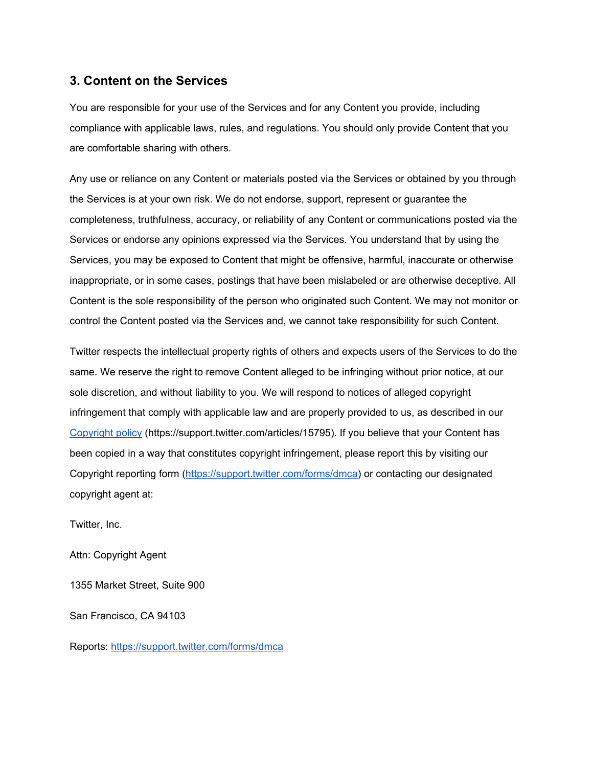## **3. Content on the Services**

You are responsible for your use of the Services and for any Content you provide, including compliance with applicable laws, rules, and regulations. You should only provide Content that you are comfortable sharing with others.

Any use or reliance on any Content or materials posted via the Services or obtained by you through the Services is at your own risk. We do not endorse, support, represent or guarantee the completeness, truthfulness, accuracy, or reliability of any Content or communications posted via the Services or endorse any opinions expressed via the Services. You understand that by using the Services, you may be exposed to Content that might be offensive, harmful, inaccurate or otherwise inappropriate, or in some cases, postings that have been mislabeled or are otherwise deceptive. All Content is the sole responsibility of the person who originated such Content. We may not monitor or control the Content posted via the Services and, we cannot take responsibility for such Content.

Twitter respects the intellectual property rights of others and expects users of the Services to do the same. We reserve the right to remove Content alleged to be infringing without prior notice, at our sole discretion, and without liability to you. We will respond to notices of alleged copyright infringement that comply with applicable law and are properly provided to us, as described in ou[r](https://support.twitter.com/articles/15795) [Copyright policy](https://support.twitter.com/articles/15795) (https://support.twitter.com/articles/15795). If you believe that your Content has been copied in a way that constitutes copyright infringement, please report this by visiting our Copyright reporting form [\(https://support.twitter.com/forms/dmca\)](https://support.twitter.com/forms/dmca) or contacting our designated copyright agent at:

Twitter, Inc.

Attn: Copyright Agent

1355 Market Street, Suite 900

San Francisco, CA 94103

Reports[:](https://support.twitter.com/forms/dmca) <https://support.twitter.com/forms/dmca>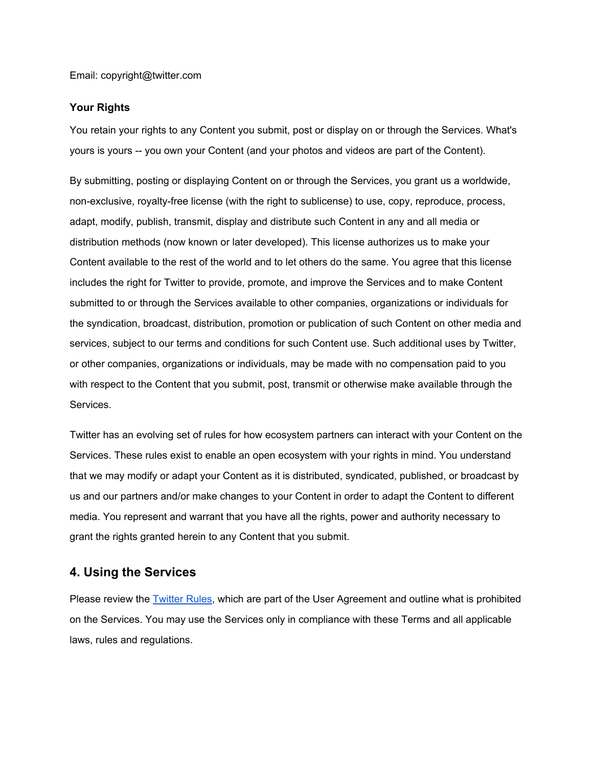Email: copyright@twitter.com

#### **Your Rights**

You retain your rights to any Content you submit, post or display on or through the Services. What's yours is yours -- you own your Content (and your photos and videos are part of the Content).

By submitting, posting or displaying Content on or through the Services, you grant us a worldwide, non-exclusive, royalty-free license (with the right to sublicense) to use, copy, reproduce, process, adapt, modify, publish, transmit, display and distribute such Content in any and all media or distribution methods (now known or later developed). This license authorizes us to make your Content available to the rest of the world and to let others do the same. You agree that this license includes the right for Twitter to provide, promote, and improve the Services and to make Content submitted to or through the Services available to other companies, organizations or individuals for the syndication, broadcast, distribution, promotion or publication of such Content on other media and services, subject to our terms and conditions for such Content use. Such additional uses by Twitter, or other companies, organizations or individuals, may be made with no compensation paid to you with respect to the Content that you submit, post, transmit or otherwise make available through the Services.

Twitter has an evolving set of rules for how ecosystem partners can interact with your Content on the Services. These rules exist to enable an open ecosystem with your rights in mind. You understand that we may modify or adapt your Content as it is distributed, syndicated, published, or broadcast by us and our partners and/or make changes to your Content in order to adapt the Content to different media. You represent and warrant that you have all the rights, power and authority necessary to grant the rights granted herein to any Content that you submit.

## **4. Using the Services**

Please review th[e](https://twitter.com/rules) [Twitter Rules,](https://twitter.com/rules) which are part of the User Agreement and outline what is prohibited on the Services. You may use the Services only in compliance with these Terms and all applicable laws, rules and regulations.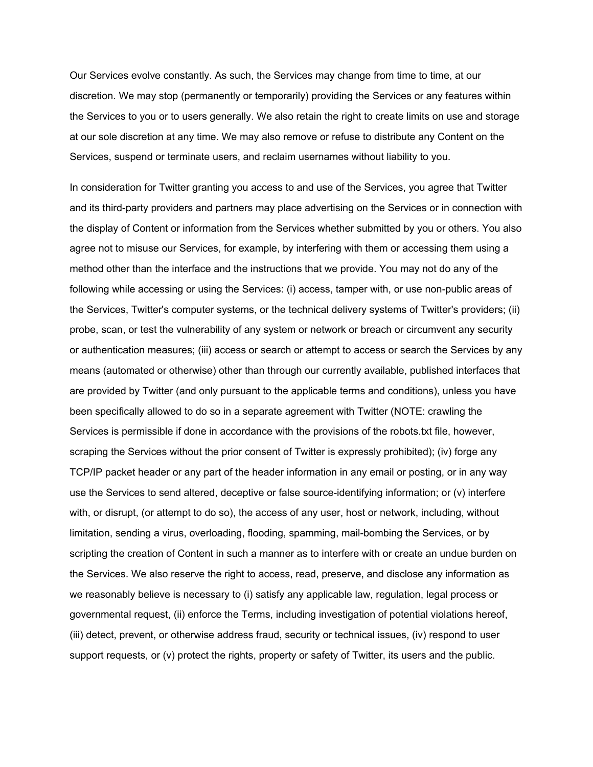Our Services evolve constantly. As such, the Services may change from time to time, at our discretion. We may stop (permanently or temporarily) providing the Services or any features within the Services to you or to users generally. We also retain the right to create limits on use and storage at our sole discretion at any time. We may also remove or refuse to distribute any Content on the Services, suspend or terminate users, and reclaim usernames without liability to you.

In consideration for Twitter granting you access to and use of the Services, you agree that Twitter and its third-party providers and partners may place advertising on the Services or in connection with the display of Content or information from the Services whether submitted by you or others. You also agree not to misuse our Services, for example, by interfering with them or accessing them using a method other than the interface and the instructions that we provide. You may not do any of the following while accessing or using the Services: (i) access, tamper with, or use non-public areas of the Services, Twitter's computer systems, or the technical delivery systems of Twitter's providers; (ii) probe, scan, or test the vulnerability of any system or network or breach or circumvent any security or authentication measures; (iii) access or search or attempt to access or search the Services by any means (automated or otherwise) other than through our currently available, published interfaces that are provided by Twitter (and only pursuant to the applicable terms and conditions), unless you have been specifically allowed to do so in a separate agreement with Twitter (NOTE: crawling the Services is permissible if done in accordance with the provisions of the robots.txt file, however, scraping the Services without the prior consent of Twitter is expressly prohibited); (iv) forge any TCP/IP packet header or any part of the header information in any email or posting, or in any way use the Services to send altered, deceptive or false source-identifying information; or (v) interfere with, or disrupt, (or attempt to do so), the access of any user, host or network, including, without limitation, sending a virus, overloading, flooding, spamming, mail-bombing the Services, or by scripting the creation of Content in such a manner as to interfere with or create an undue burden on the Services. We also reserve the right to access, read, preserve, and disclose any information as we reasonably believe is necessary to (i) satisfy any applicable law, regulation, legal process or governmental request, (ii) enforce the Terms, including investigation of potential violations hereof, (iii) detect, prevent, or otherwise address fraud, security or technical issues, (iv) respond to user support requests, or (v) protect the rights, property or safety of Twitter, its users and the public.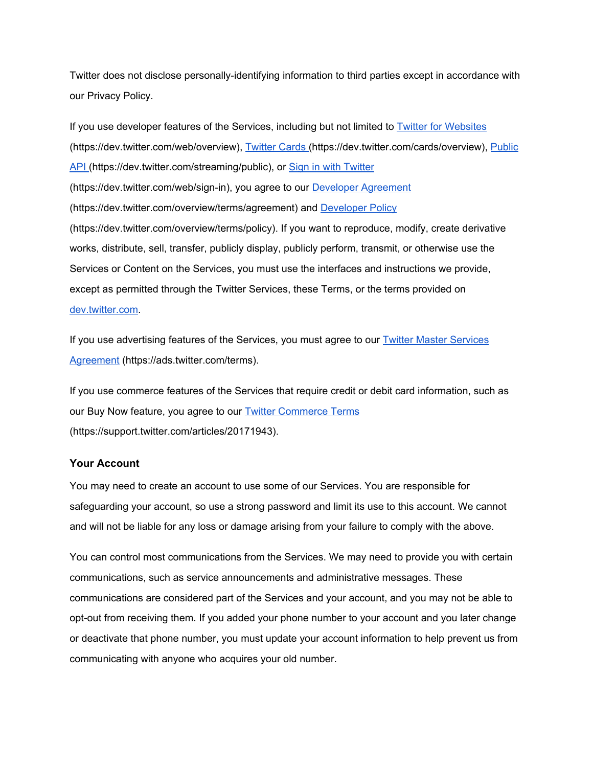Twitter does not disclose personally-identifying information to third parties except in accordance with our Privacy Policy.

If y[o](https://dev.twitter.com/web/overview)u use developer features of the Services, including but not limited to **[Twitter for Websites](https://dev.twitter.com/web/overview)** (https://dev.twitter.com/web/overview), [Twitter Cards](https://dev.twitter.com/cards/overview) (https://dev.twitter.com/cards/overview)[,](https://dev.twitter.com/streaming/public) [Public](https://dev.twitter.com/streaming/public) [API](https://dev.twitter.com/streaming/public) (https://dev.twitter.com/streaming/public), o[r](https://dev.twitter.com/web/sign-in) [Sign in with Twitter](https://dev.twitter.com/web/sign-in) (https://dev.twitter.com/web/sign-in), you agree to ou[r](https://dev.twitter.com/overview/terms/agreement) [Developer Agreement](https://dev.twitter.com/overview/terms/agreement) (https://dev.twitter.com/overview/terms/agreement) and **[Developer Policy](https://dev.twitter.com/overview/terms/policy)** (https://dev.twitter.com/overview/terms/policy). If you want to reproduce, modify, create derivative works, distribute, sell, transfer, publicly display, publicly perform, transmit, or otherwise use the Services or Content on the Services, you must use the interfaces and instructions we provide, except as permitted through the Twitter Services, these Terms, or the terms provided on [dev.twitter.com.](https://dev.twitter.com/)

If you use advertising features of the Services, you must agree to our [Twitter Master Services](https://ads.twitter.com/terms) [Agreement](https://ads.twitter.com/terms) (https://ads.twitter.com/terms).

If you use commerce features of the Services that require credit or debit card information, such as our Buy Now feature, you agree to our [Twitter Commerce Terms](https://support.twitter.com/articles/20171943) (https://support.twitter.com/articles/20171943).

#### **Your Account**

You may need to create an account to use some of our Services. You are responsible for safeguarding your account, so use a strong password and limit its use to this account. We cannot and will not be liable for any loss or damage arising from your failure to comply with the above.

You can control most communications from the Services. We may need to provide you with certain communications, such as service announcements and administrative messages. These communications are considered part of the Services and your account, and you may not be able to opt-out from receiving them. If you added your phone number to your account and you later change or deactivate that phone number, you must update your account information to help prevent us from communicating with anyone who acquires your old number.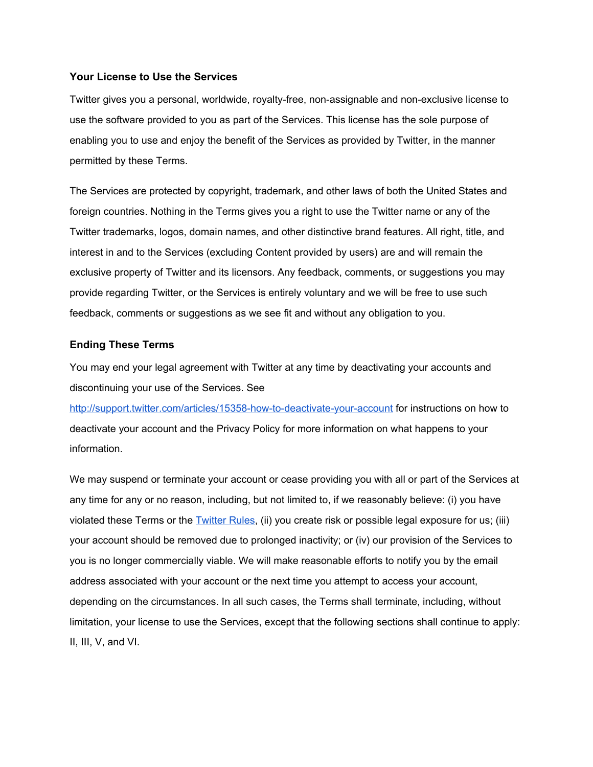#### **Your License to Use the Services**

Twitter gives you a personal, worldwide, royalty-free, non-assignable and non-exclusive license to use the software provided to you as part of the Services. This license has the sole purpose of enabling you to use and enjoy the benefit of the Services as provided by Twitter, in the manner permitted by these Terms.

The Services are protected by copyright, trademark, and other laws of both the United States and foreign countries. Nothing in the Terms gives you a right to use the Twitter name or any of the Twitter trademarks, logos, domain names, and other distinctive brand features. All right, title, and interest in and to the Services (excluding Content provided by users) are and will remain the exclusive property of Twitter and its licensors. Any feedback, comments, or suggestions you may provide regarding Twitter, or the Services is entirely voluntary and we will be free to use such feedback, comments or suggestions as we see fit and without any obligation to you.

#### **Ending These Terms**

You may end your legal agreement with Twitter at any time by deactivating your accounts and discontinuing your use of the Services. Se[e](http://support.twitter.com/articles/15358-how-to-deactivate-your-account)

<http://support.twitter.com/articles/15358-how-to-deactivate-your-account>for instructions on how to deactivate your account and the Privacy Policy for more information on what happens to your information.

We may suspend or terminate your account or cease providing you with all or part of the Services at any time for any or no reason, including, but not limited to, if we reasonably believe: (i) you have violat[e](https://twitter.com/rules)d these Terms or the **Twitter Rules**, (ii) you create risk or possible legal exposure for us; (iii) your account should be removed due to prolonged inactivity; or (iv) our provision of the Services to you is no longer commercially viable. We will make reasonable efforts to notify you by the email address associated with your account or the next time you attempt to access your account, depending on the circumstances. In all such cases, the Terms shall terminate, including, without limitation, your license to use the Services, except that the following sections shall continue to apply: II, III, V, and VI.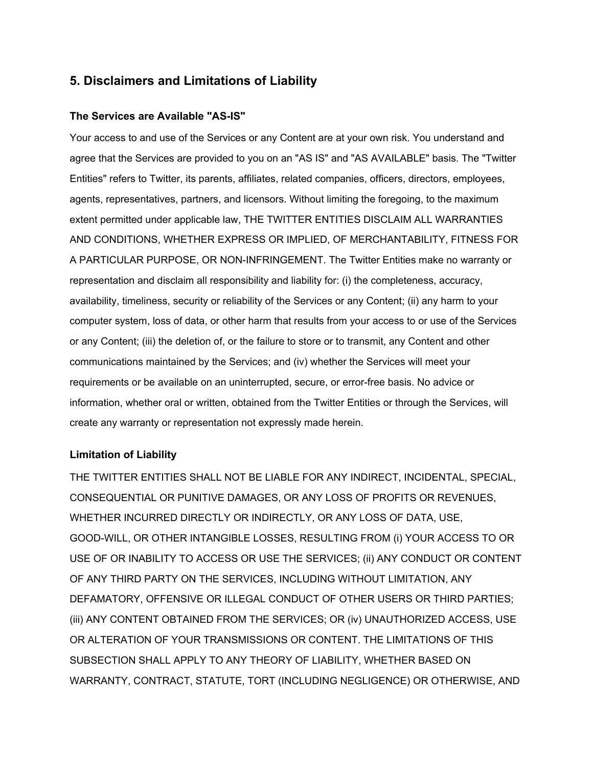# **5. Disclaimers and Limitations of Liability**

#### **The Services are Available "AS-IS"**

Your access to and use of the Services or any Content are at your own risk. You understand and agree that the Services are provided to you on an "AS IS" and "AS AVAILABLE" basis. The "Twitter Entities" refers to Twitter, its parents, affiliates, related companies, officers, directors, employees, agents, representatives, partners, and licensors. Without limiting the foregoing, to the maximum extent permitted under applicable law, THE TWITTER ENTITIES DISCLAIM ALL WARRANTIES AND CONDITIONS, WHETHER EXPRESS OR IMPLIED, OF MERCHANTABILITY, FITNESS FOR A PARTICULAR PURPOSE, OR NON-INFRINGEMENT. The Twitter Entities make no warranty or representation and disclaim all responsibility and liability for: (i) the completeness, accuracy, availability, timeliness, security or reliability of the Services or any Content; (ii) any harm to your computer system, loss of data, or other harm that results from your access to or use of the Services or any Content; (iii) the deletion of, or the failure to store or to transmit, any Content and other communications maintained by the Services; and (iv) whether the Services will meet your requirements or be available on an uninterrupted, secure, or error-free basis. No advice or information, whether oral or written, obtained from the Twitter Entities or through the Services, will create any warranty or representation not expressly made herein.

#### **Limitation of Liability**

THE TWITTER ENTITIES SHALL NOT BE LIABLE FOR ANY INDIRECT, INCIDENTAL, SPECIAL, CONSEQUENTIAL OR PUNITIVE DAMAGES, OR ANY LOSS OF PROFITS OR REVENUES, WHETHER INCURRED DIRECTLY OR INDIRECTLY, OR ANY LOSS OF DATA, USE, GOOD-WILL, OR OTHER INTANGIBLE LOSSES, RESULTING FROM (i) YOUR ACCESS TO OR USE OF OR INABILITY TO ACCESS OR USE THE SERVICES; (ii) ANY CONDUCT OR CONTENT OF ANY THIRD PARTY ON THE SERVICES, INCLUDING WITHOUT LIMITATION, ANY DEFAMATORY, OFFENSIVE OR ILLEGAL CONDUCT OF OTHER USERS OR THIRD PARTIES; (iii) ANY CONTENT OBTAINED FROM THE SERVICES; OR (iv) UNAUTHORIZED ACCESS, USE OR ALTERATION OF YOUR TRANSMISSIONS OR CONTENT. THE LIMITATIONS OF THIS SUBSECTION SHALL APPLY TO ANY THEORY OF LIABILITY, WHETHER BASED ON WARRANTY, CONTRACT, STATUTE, TORT (INCLUDING NEGLIGENCE) OR OTHERWISE, AND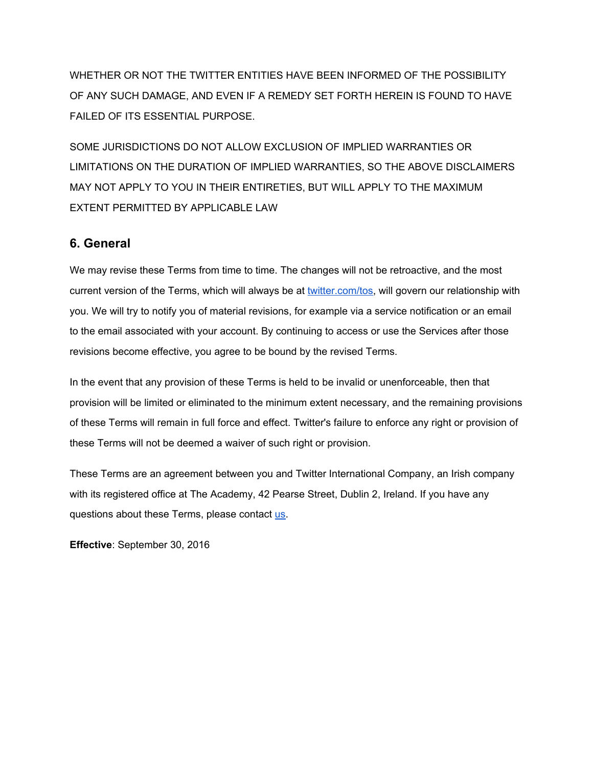WHETHER OR NOT THE TWITTER ENTITIES HAVE BEEN INFORMED OF THE POSSIBILITY OF ANY SUCH DAMAGE, AND EVEN IF A REMEDY SET FORTH HEREIN IS FOUND TO HAVE FAILED OF ITS ESSENTIAL PURPOSE.

SOME JURISDICTIONS DO NOT ALLOW EXCLUSION OF IMPLIED WARRANTIES OR LIMITATIONS ON THE DURATION OF IMPLIED WARRANTIES, SO THE ABOVE DISCLAIMERS MAY NOT APPLY TO YOU IN THEIR ENTIRETIES, BUT WILL APPLY TO THE MAXIMUM EXTENT PERMITTED BY APPLICABLE LAW

# **6. General**

We may revise these Terms from time to time. The changes will not be retroactive, and the most current version of the Terms, which will always be a[t](https://twitter.com/tos) [twitter.com/tos,](https://twitter.com/tos) will govern our relationship with you. We will try to notify you of material revisions, for example via a service notification or an email to the email associated with your account. By continuing to access or use the Services after those revisions become effective, you agree to be bound by the revised Terms.

In the event that any provision of these Terms is held to be invalid or unenforceable, then that provision will be limited or eliminated to the minimum extent necessary, and the remaining provisions of these Terms will remain in full force and effect. Twitter's failure to enforce any right or provision of these Terms will not be deemed a waiver of such right or provision.

These Terms are an agreement between you and Twitter International Company, an Irish company with its registered office at The Academy, 42 Pearse Street, Dublin 2, Ireland. If you have any questions about these Terms, please contac[t](https://support.twitter.com/forms) [us.](https://support.twitter.com/forms)

**Effective**: September 30, 2016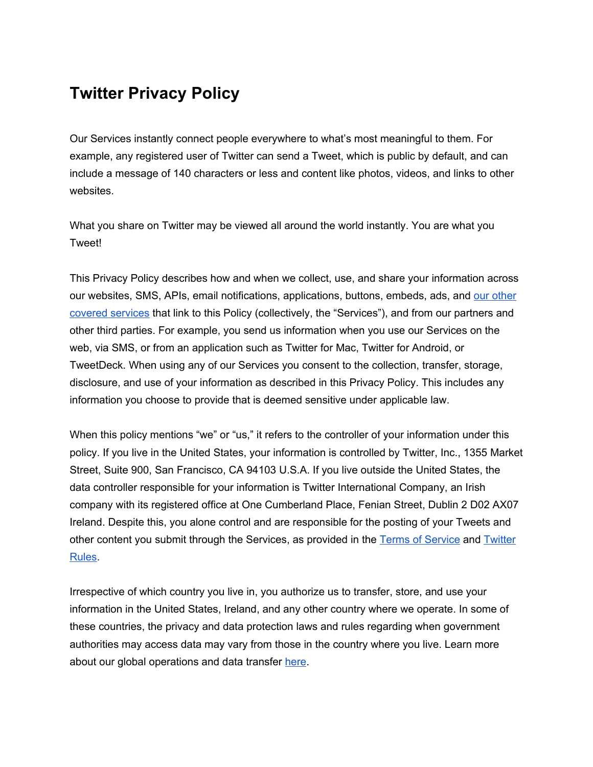# <span id="page-17-0"></span>**Twitter Privacy Policy**

Our Services instantly connect people everywhere to what's most meaningful to them. For example, any registered user of Twitter can send a Tweet, which is public by default, and can include a message of 140 characters or less and content like photos, videos, and links to other websites.

What you share on Twitter may be viewed all around the world instantly. You are what you Tweet!

This Privacy Policy describes how and when we collect, use, and share your information across our websites, SMS, APIs, email notifications, applications, buttons, embeds, ads, and our [other](https://support.twitter.com/articles/20172501) covered [services](https://support.twitter.com/articles/20172501) that link to this Policy (collectively, the "Services"), and from our partners and other third parties. For example, you send us information when you use our Services on the web, via SMS, or from an application such as Twitter for Mac, Twitter for Android, or TweetDeck. When using any of our Services you consent to the collection, transfer, storage, disclosure, and use of your information as described in this Privacy Policy. This includes any information you choose to provide that is deemed sensitive under applicable law.

When this policy mentions "we" or "us," it refers to the controller of your information under this policy. If you live in the United States, your information is controlled by Twitter, Inc., 1355 Market Street, Suite 900, San Francisco, CA 94103 U.S.A. If you live outside the United States, the data controller responsible for your information is Twitter International Company, an Irish company with its registered office at One Cumberland Place, Fenian Street, Dublin 2 D02 AX07 Ireland. Despite this, you alone control and are responsible for the posting of your Tweets and other content you submit through the [Service](https://twitter.com/tos)s, as provided in the Terms of Service and [Twitter](https://twitter.com/rules) [Rules](https://twitter.com/rules).

Irrespective of which country you live in, you authorize us to transfer, store, and use your information in the United States, Ireland, and any other country where we operate. In some of these countries, the privacy and data protection laws and rules regarding when government authorities may access data may vary from those in the country where you live. Learn more about our global operations and data transfer [here](https://support.twitter.com/articles/20174632).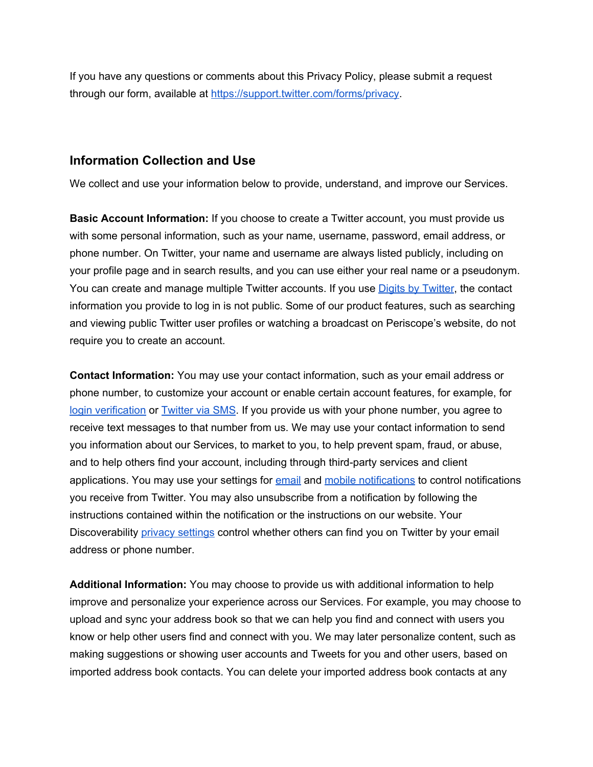If you have any questions or comments about this Privacy Policy, please submit a request through our form, available at <https://support.twitter.com/forms/privacy>.

# **Information Collection and Use**

We collect and use your information below to provide, understand, and improve our Services.

**Basic Account Information:** If you choose to create a Twitter account, you must provide us with some personal information, such as your name, username, password, email address, or phone number. On Twitter, your name and username are always listed publicly, including on your profile page and in search results, and you can use either your real name or a pseudonym. You can create and manage multiple Twitter accounts. If you use Digits by [Twitter,](https://get.digits.com/) the contact information you provide to log in is not public. Some of our product features, such as searching and viewing public Twitter user profiles or watching a broadcast on Periscope's website, do not require you to create an account.

**Contact Information:** You may use your contact information, such as your email address or phone number, to customize your account or enable certain account features, for example, fo[r](https://support.twitter.com/articles/20170388) login [verification](https://support.twitter.com/articles/20170388) or **[Twitter](https://support.twitter.com/articles/14589) via SMS**. If you provide us with your phone number, you agree to receive text messages to that number from us. We may use your contact information to send you information about our Services, to market to you, to help prevent spam, fraud, or abuse, and to help others find your account, including through third-party services and client applications. You may use your settings for [email](https://twitter.com/settings/notifications) and mobile [notifications](https://twitter.com/settings/devices) to control notifications you receive from Twitter. You may also unsubscribe from a notification by following the instructions contained within the notification or the instructions on our website. Your Discoverability privacy [settings](https://twitter.com/settings/safety) control whether others can find you on Twitter by your email address or phone number.

**Additional Information:** You may choose to provide us with additional information to help improve and personalize your experience across our Services. For example, you may choose to upload and sync your address book so that we can help you find and connect with users you know or help other users find and connect with you. We may later personalize content, such as making suggestions or showing user accounts and Tweets for you and other users, based on imported address book contacts. You can delete your imported address book contacts at any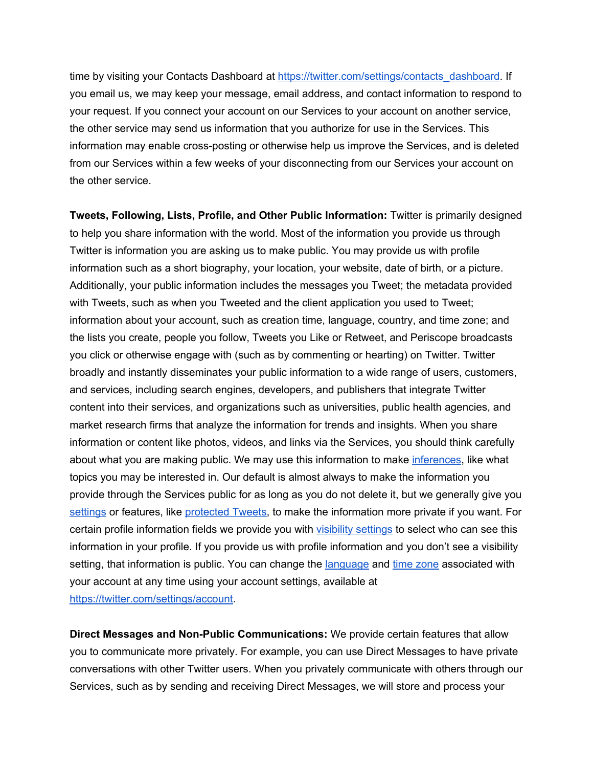time by visiting your Contacts Dashboard at [https://twitter.com/settings/contacts\\_dashboard.](https://twitter.com/settings/contacts_dashboard) If you email us, we may keep your message, email address, and contact information to respond to your request. If you connect your account on our Services to your account on another service, the other service may send us information that you authorize for use in the Services. This information may enable cross-posting or otherwise help us improve the Services, and is deleted from our Services within a few weeks of your disconnecting from our Services your account on the other service.

**Tweets, Following, Lists, Profile, and Other Public Information:** Twitter is primarily designed to help you share information with the world. Most of the information you provide us through Twitter is information you are asking us to make public. You may provide us with profile information such as a short biography, your location, your website, date of birth, or a picture. Additionally, your public information includes the messages you Tweet; the metadata provided with Tweets, such as when you Tweeted and the client application you used to Tweet; information about your account, such as creation time, language, country, and time zone; and the lists you create, people you follow, Tweets you Like or Retweet, and Periscope broadcasts you click or otherwise engage with (such as by commenting or hearting) on Twitter. Twitter broadly and instantly disseminates your public information to a wide range of users, customers, and services, including search engines, developers, and publishers that integrate Twitter content into their services, and organizations such as universities, public health agencies, and market research firms that analyze the information for trends and insights. When you share information or content like photos, videos, and links via the Services, you should think carefully about what you are making public. We may use this information to make [inferences,](https://twitter.com/your_twitter_data) like what topics you may be interested in. Our default is almost always to make the information you provide through the Services public for as long as you do not delete it, but we generally give you [settings](https://twitter.com/settings/safety) or features, like [protected](https://support.twitter.com/articles/14016) Tweets, to make the information more private if you want. For certain profile information fields we provide you with visibility [settings](https://support.twitter.com/articles/20172733) to select who can see this information in your profile. If you provide us with profile information and you don't see a visibility setting, that information is public. You can change the **[language](https://support.twitter.com/articles/119137)** and time [zone](https://support.twitter.com/articles/20169405) associated with your account at any time using your account settings, available at [https://twitter.com/settings/account.](https://twitter.com/settings/account)

**Direct Messages and Non-Public Communications:** We provide certain features that allow you to communicate more privately. For example, you can use Direct Messages to have private conversations with other Twitter users. When you privately communicate with others through our Services, such as by sending and receiving Direct Messages, we will store and process your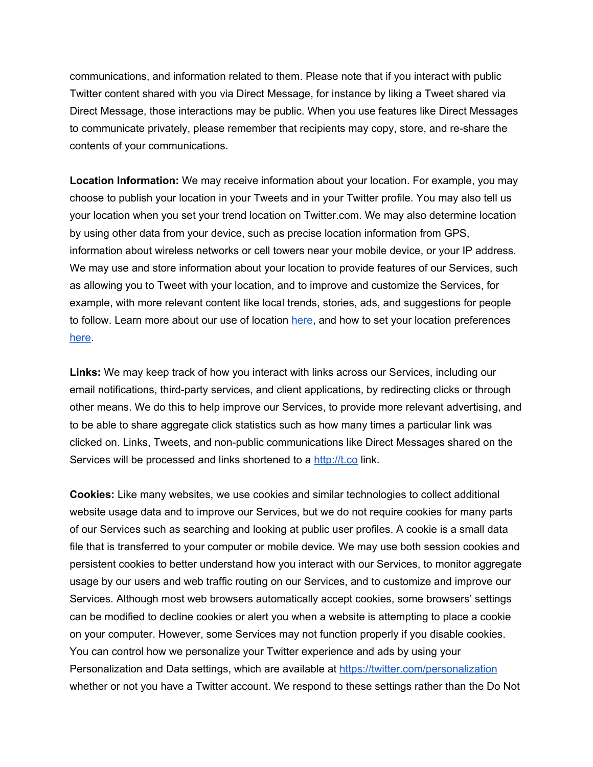communications, and information related to them. Please note that if you interact with public Twitter content shared with you via Direct Message, for instance by liking a Tweet shared via Direct Message, those interactions may be public. When you use features like Direct Messages to communicate privately, please remember that recipients may copy, store, and re-share the contents of your communications.

**Location Information:** We may receive information about your location. For example, you may choose to publish your location in your Tweets and in your Twitter profile. You may also tell us your location when you set your trend location on Twitter.com. We may also determine location by using other data from your device, such as precise location information from GPS, information about wireless networks or cell towers near your mobile device, or your IP address. We may use and store information about your location to provide features of our Services, such as allowing you to Tweet with your location, and to improve and customize the Services, for example, with more relevant content like local trends, stories, ads, and suggestions for people to follow. Learn more about our use of location [here](https://support.twitter.com/articles/78525), and how to set your location preferences [here](https://support.twitter.com/articles/118492).

**Links:** We may keep track of how you interact with links across our Services, including our email notifications, third-party services, and client applications, by redirecting clicks or through other means. We do this to help improve our Services, to provide more relevant advertising, and to be able to share aggregate click statistics such as how many times a particular link was clicked on. Links, Tweets, and non-public communications like Direct Messages shared on the Services will be processed and links shortened to a [http://t.co](http://t.co/) link.

**Cookies:** Like many websites, we use cookies and similar technologies to collect additional website usage data and to improve our Services, but we do not require cookies for many parts of our Services such as searching and looking at public user profiles. A cookie is a small data file that is transferred to your computer or mobile device. We may use both session cookies and persistent cookies to better understand how you interact with our Services, to monitor aggregate usage by our users and web traffic routing on our Services, and to customize and improve our Services. Although most web browsers automatically accept cookies, some browsers' settings can be modified to decline cookies or alert you when a website is attempting to place a cookie on your computer. However, some Services may not function properly if you disable cookies. You can control how we personalize your Twitter experience and ads by using your Personalization and Data settings, which are available at <https://twitter.com/personalization> whether or not you have a Twitter account. We respond to these settings rather than the Do Not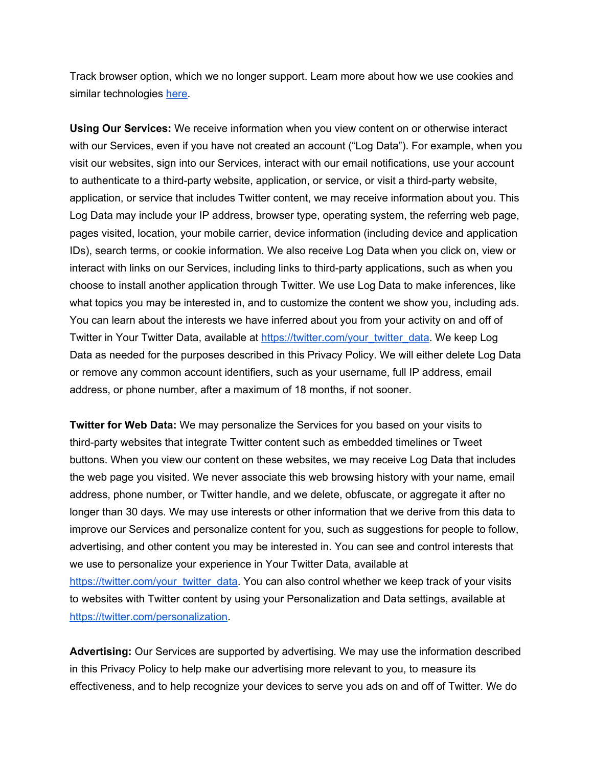Track browser option, which we no longer support. Learn more about how we use cookies and similar technologies [here.](https://support.twitter.com/articles/20170514)

**Using Our Services:** We receive information when you view content on or otherwise interact with our Services, even if you have not created an account ("Log Data"). For example, when you visit our websites, sign into our Services, interact with our email notifications, use your account to authenticate to a third-party website, application, or service, or visit a third-party website, application, or service that includes Twitter content, we may receive information about you. This Log Data may include your IP address, browser type, operating system, the referring web page, pages visited, location, your mobile carrier, device information (including device and application IDs), search terms, or cookie information. We also receive Log Data when you click on, view or interact with links on our Services, including links to third-party applications, such as when you choose to install another application through Twitter. We use Log Data to make inferences, like what topics you may be interested in, and to customize the content we show you, including ads. You can learn about the interests we have inferred about you from your activity on and off of Twitter in Your Twitter Data, available at [https://twitter.com/your\\_twitter\\_data.](https://twitter.com/your_twitter_data) We keep Log Data as needed for the purposes described in this Privacy Policy. We will either delete Log Data or remove any common account identifiers, such as your username, full IP address, email address, or phone number, after a maximum of 18 months, if not sooner.

**Twitter for Web Data:** We may personalize the Services for you based on your visits to third-party websites that integrate Twitter content such as embedded timelines or Tweet buttons. When you view our content on these websites, we may receive Log Data that includes the web page you visited. We never associate this web browsing history with your name, email address, phone number, or Twitter handle, and we delete, obfuscate, or aggregate it after no longer than 30 days. We may use interests or other information that we derive from this data to improve our Services and personalize content for you, such as suggestions for people to follow, advertising, and other content you may be interested in. You can see and control interests that we use to personalize your experience in Your Twitter Data, available at [https://twitter.com/your\\_twitter\\_data.](https://twitter.com/your_twitter_data) You can also control whether we keep track of your visits to websites with Twitter content by using your Personalization and Data settings, available at [https://twitter.com/personalization.](https://twitter.com/personalization)

**Advertising:** Our Services are supported by advertising. We may use the information described in this Privacy Policy to help make our advertising more relevant to you, to measure its effectiveness, and to help recognize your devices to serve you ads on and off of Twitter. We do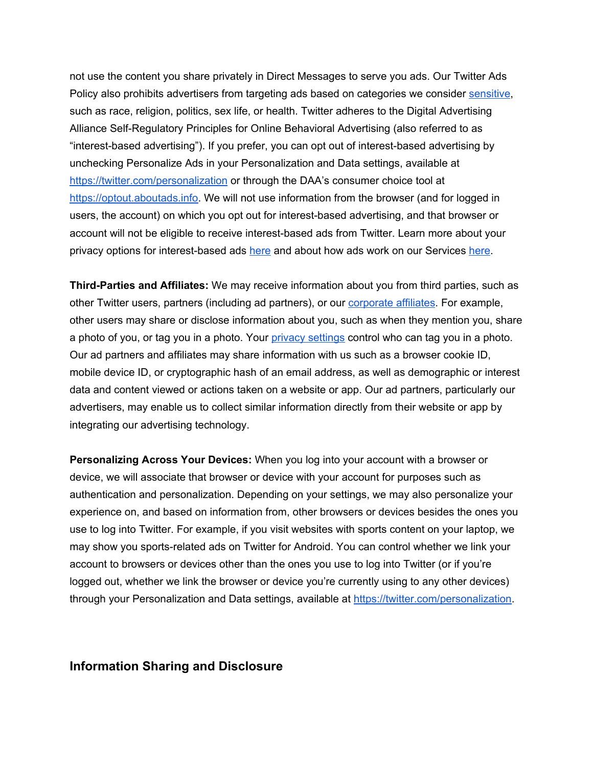not use the content you share privately in Direct Messages to serve you ads. Our Twitter Ads Policy also prohibits advertisers from targeting ads based on categories we consider [sensitive](https://support.twitter.com/articles/20170368), such as race, religion, politics, sex life, or health. Twitter adheres to the Digital Advertising Alliance Self-Regulatory Principles for Online Behavioral Advertising (also referred to as "interest-based advertising"). If you prefer, you can opt out of interest-based advertising by unchecking Personalize Ads in your Personalization and Data settings, available at <https://twitter.com/personalization> or through the DAA's consumer choice tool at [https://optout.aboutads.info.](https://optout.aboutads.info/) We will not use information from the browser (and for logged in users, the account) on which you opt out for interest-based advertising, and that browser or account will not be eligible to receive interest-based ads from Twitter. Learn more about your privacy options for interest-based ads [here](https://support.twitter.com/articles/20170514#privacy-options) and about how ads work on our Services [here.](https://business.twitter.com/en/help/troubleshooting/how-twitter-ads-work.html)

**Third-Parties and Affiliates:** We may receive information about you from third parties, such as other Twitter users, partners (including ad partners), or our *[corporate](https://support.twitter.com/articles/20172501) affiliates*. For example, other users may share or disclose information about you, such as when they mention you, share a photo of you, or tag you in a photo. Your privacy [settings](https://twitter.com/settings/safety) control who can tag you in a photo. Our ad partners and affiliates may share information with us such as a browser cookie ID, mobile device ID, or cryptographic hash of an email address, as well as demographic or interest data and content viewed or actions taken on a website or app. Our ad partners, particularly our advertisers, may enable us to collect similar information directly from their website or app by integrating our advertising technology.

**Personalizing Across Your Devices:** When you log into your account with a browser or device, we will associate that browser or device with your account for purposes such as authentication and personalization. Depending on your settings, we may also personalize your experience on, and based on information from, other browsers or devices besides the ones you use to log into Twitter. For example, if you visit websites with sports content on your laptop, we may show you sports-related ads on Twitter for Android. You can control whether we link your account to browsers or devices other than the ones you use to log into Twitter (or if you're logged out, whether we link the browser or device you're currently using to any other devices) through your Personalization and Data settings, available at [https://twitter.com/personalization.](https://twitter.com/personalization)

## **Information Sharing and Disclosure**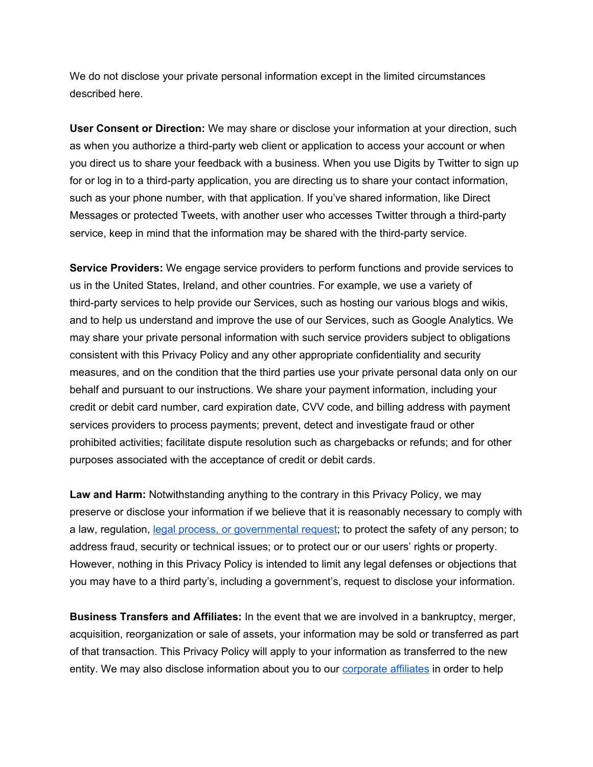We do not disclose your private personal information except in the limited circumstances described here.

**User Consent or Direction:** We may share or disclose your information at your direction, such as when you authorize a third-party web client or application to access your account or when you direct us to share your feedback with a business. When you use Digits by Twitter to sign up for or log in to a third-party application, you are directing us to share your contact information, such as your phone number, with that application. If you've shared information, like Direct Messages or protected Tweets, with another user who accesses Twitter through a third-party service, keep in mind that the information may be shared with the third-party service.

**Service Providers:** We engage service providers to perform functions and provide services to us in the United States, Ireland, and other countries. For example, we use a variety of third-party services to help provide our Services, such as hosting our various blogs and wikis, and to help us understand and improve the use of our Services, such as Google Analytics. We may share your private personal information with such service providers subject to obligations consistent with this Privacy Policy and any other appropriate confidentiality and security measures, and on the condition that the third parties use your private personal data only on our behalf and pursuant to our instructions. We share your payment information, including your credit or debit card number, card expiration date, CVV code, and billing address with payment services providers to process payments; prevent, detect and investigate fraud or other prohibited activities; facilitate dispute resolution such as chargebacks or refunds; and for other purposes associated with the acceptance of credit or debit cards.

**Law and Harm:** Notwithstanding anything to the contrary in this Privacy Policy, we may preserve or disclose your information if we believe that it is reasonably necessary to comply with a law, regulation, legal process, or [governmental](https://support.twitter.com/articles/41949) request; to protect the safety of any person; to address fraud, security or technical issues; or to protect our or our users' rights or property. However, nothing in this Privacy Policy is intended to limit any legal defenses or objections that you may have to a third party's, including a government's, request to disclose your information.

**Business Transfers and Affiliates:** In the event that we are involved in a bankruptcy, merger, acquisition, reorganization or sale of assets, your information may be sold or transferred as part of that transaction. This Privacy Policy will apply to your information as transferred to the new entity. We may also disclose information about you to our [corporate](https://support.twitter.com/articles/20172501) affiliates in order to help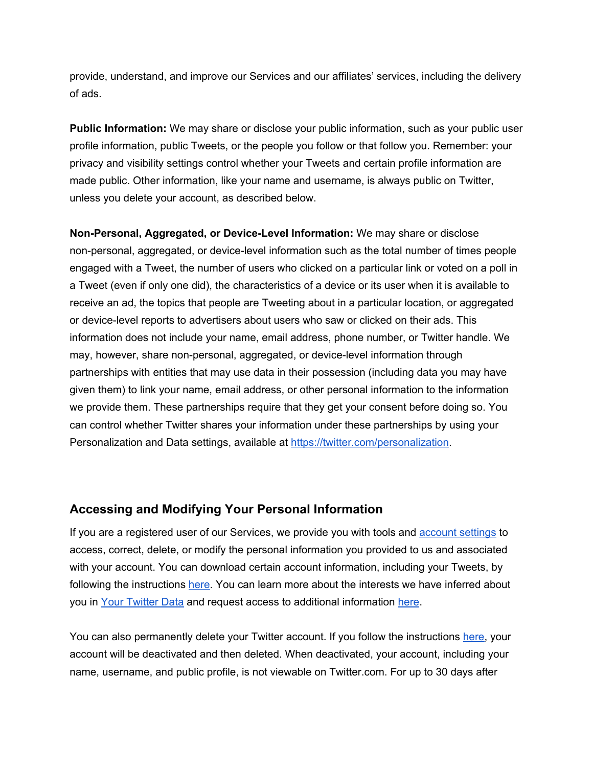provide, understand, and improve our Services and our affiliates' services, including the delivery of ads.

**Public Information:** We may share or disclose your public information, such as your public user profile information, public Tweets, or the people you follow or that follow you. Remember: your privacy and visibility settings control whether your Tweets and certain profile information are made public. Other information, like your name and username, is always public on Twitter, unless you delete your account, as described below.

**Non-Personal, Aggregated, or Device-Level Information:** We may share or disclose non-personal, aggregated, or device-level information such as the total number of times people engaged with a Tweet, the number of users who clicked on a particular link or voted on a poll in a Tweet (even if only one did), the characteristics of a device or its user when it is available to receive an ad, the topics that people are Tweeting about in a particular location, or aggregated or device-level reports to advertisers about users who saw or clicked on their ads. This information does not include your name, email address, phone number, or Twitter handle. We may, however, share non-personal, aggregated, or device-level information through partnerships with entities that may use data in their possession (including data you may have given them) to link your name, email address, or other personal information to the information we provide them. These partnerships require that they get your consent before doing so. You can control whether Twitter shares your information under these partnerships by using your Personalization and Data settings, available at [https://twitter.com/personalization.](https://twitter.com/personalization)

# **Accessing and Modifying Your Personal Information**

If you are a registered user of our Services, we provide you with tools and [account](https://twitter.com/account/settings) settings to access, correct, delete, or modify the personal information you provided to us and associated with your account. You can download certain account information, including your Tweets, by following the instructions [here.](https://support.twitter.com/articles/20170160-downloading-your-twitter-archive) You can learn more about the interests we have inferred about you in Your [Twitter](https://twitter.com/your_twitter_data) Data and request access to additional information [here.](https://support.twitter.com/forms/privacy)

You can also permanently delete your Twitter account. If you follow the instructions [here,](https://support.twitter.com/articles/15358-how-to-deactivate-your-account) your account will be deactivated and then deleted. When deactivated, your account, including your name, username, and public profile, is not viewable on Twitter.com. For up to 30 days after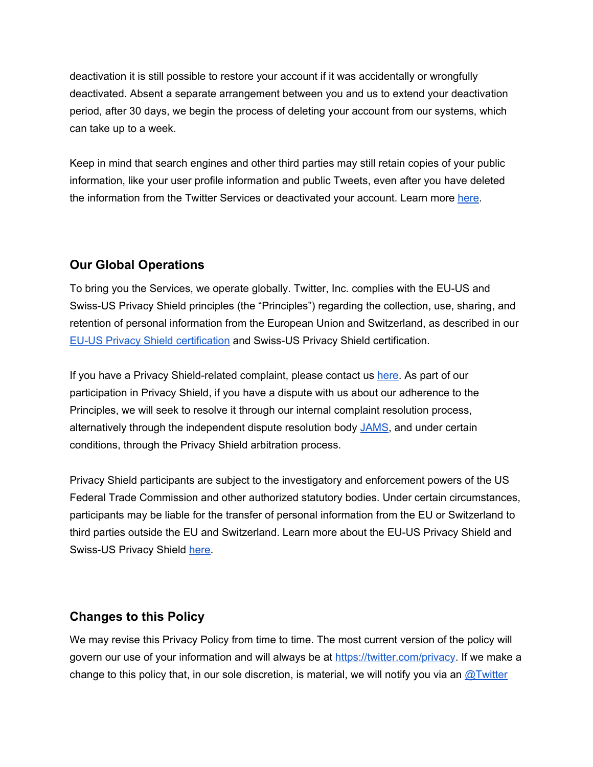deactivation it is still possible to restore your account if it was accidentally or wrongfully deactivated. Absent a separate arrangement between you and us to extend your deactivation period, after 30 days, we begin the process of deleting your account from our systems, which can take up to a week.

Keep in mind that search engines and other third parties may still retain copies of your public information, like your user profile information and public Tweets, even after you have deleted the information from the Twitter Services or deactivated your account. Learn more [here.](https://support.twitter.com/articles/15349-why-is-my-twitter-profile-in-google-search)

# **Our Global Operations**

To bring you the Services, we operate globally. Twitter, Inc. complies with the EU-US and Swiss-US Privacy Shield principles (the "Principles") regarding the collection, use, sharing, and retention of personal information from the European Union and Switzerland, as described in our EU-US Privacy Shield [certification](https://www.privacyshield.gov/list) and Swiss-US Privacy Shield certification.

If you have a Privacy Shield-related complaint, please contact us [here.](https://support.twitter.com/forms/privacy) As part of our participation in Privacy Shield, if you have a dispute with us about our adherence to the Principles, we will seek to resolve it through our internal complaint resolution process, alternatively through the independent dispute resolution body [JAMS,](https://www.jamsadr.com/eu-us-privacy-shield) and under certain conditions, through the Privacy Shield arbitration process.

Privacy Shield participants are subject to the investigatory and enforcement powers of the US Federal Trade Commission and other authorized statutory bodies. Under certain circumstances, participants may be liable for the transfer of personal information from the EU or Switzerland to third parties outside the EU and Switzerland. Learn more about the EU-US Privacy Shield and Swiss-US Privacy Shield [here.](https://www.privacyshield.gov/welcome)

# **Changes to this Policy**

We may revise this Privacy Policy from time to time. The most current version of the policy will govern our use of your information and will always be at [https://twitter.com/privacy.](https://twitter.com/privacy) If we make a change to this policy that, in our sole discretion, is material, we will notify you via an  $\mathcal{Q}$ Twitter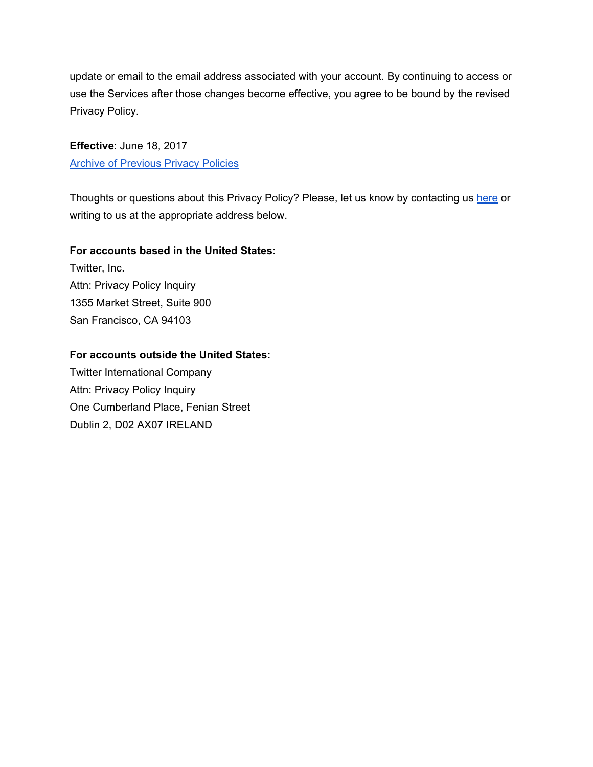update or email to the email address associated with your account. By continuing to access or use the Services after those changes become effective, you agree to be bound by the revised Privacy Policy.

**Effective**: June 18, 2017 **Archive of [Previous](https://twitter.com/privacy/previous) Privacy Policies** 

Thoughts or questions about this Privacy Policy? Please, let us know by contacting us [here](https://support.twitter.com/forms/privacy) or writing to us at the appropriate address below.

## **For accounts based in the United States:**

Twitter, Inc. Attn: Privacy Policy Inquiry 1355 Market Street, Suite 900 San Francisco, CA 94103

## **For accounts outside the United States:**

Twitter International Company Attn: Privacy Policy Inquiry One Cumberland Place, Fenian Street Dublin 2, D02 AX07 IRELAND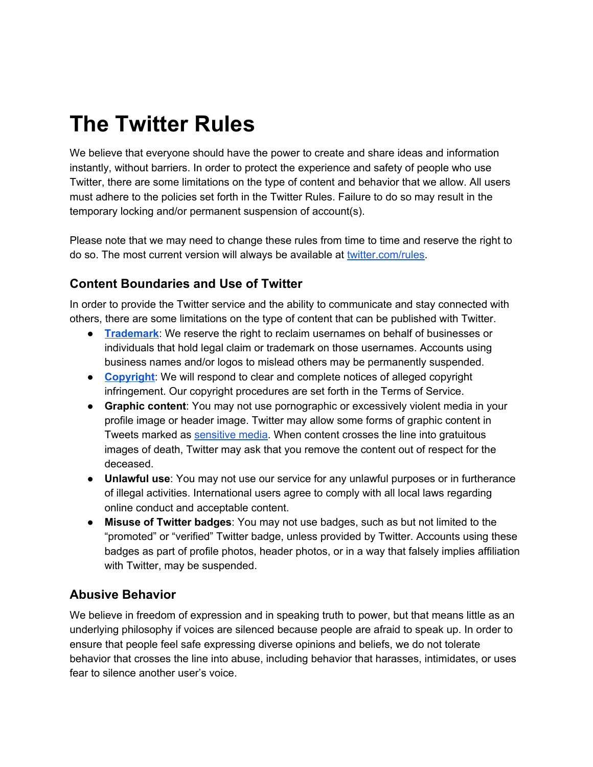# <span id="page-27-0"></span>**The Twitter Rules**

We believe that everyone should have the power to create and share ideas and information instantly, without barriers. In order to protect the experience and safety of people who use Twitter, there are some limitations on the type of content and behavior that we allow. All users must adhere to the policies set forth in the Twitter Rules. Failure to do so may result in the temporary locking and/or permanent suspension of account(s).

Please note that we may need to change these rules from time to time and reserve the right to do so. The most current version will always be available a[t](https://twitter.com/rules) [twitter.com/rules.](https://twitter.com/rules)

# **Content Boundaries and Use of Twitter**

In order to provide the Twitter service and the ability to communicate and stay connected with others, there are some limitations on the type of content that can be published with Twitter.

- **[Trademark](https://support.twitter.com/articles/18367):** We reserve the right to reclaim usernames on behalf of businesses or individuals that hold legal claim or trademark on those usernames. Accounts using business names and/or logos to mislead others may be permanently suspended.
- **[Copyright](https://support.twitter.com/articles/15795)**: We will respond to clear and complete notices of alleged copyright infringement. Our copyright procedures are set forth in the Terms of Service.
- **Graphic content**: You may not use pornographic or excessively violent media in your profile image or header image. Twitter may allow some forms of graphic content in Tweets marked a[s](https://support.twitter.com/articles/20169200?lang=en) [sensitive](https://support.twitter.com/articles/20169200?lang=en) media. When content crosses the line into gratuitous images of death, Twitter may ask that you remove the content out of respect for the deceased.
- **Unlawful use**: You may not use our service for any unlawful purposes or in furtherance of illegal activities. International users agree to comply with all local laws regarding online conduct and acceptable content.
- **Misuse of Twitter badges**: You may not use badges, such as but not limited to the "promoted" or "verified" Twitter badge, unless provided by Twitter. Accounts using these badges as part of profile photos, header photos, or in a way that falsely implies affiliation with Twitter, may be suspended.

# **Abusive Behavior**

We believe in freedom of expression and in speaking truth to power, but that means little as an underlying philosophy if voices are silenced because people are afraid to speak up. In order to ensure that people feel safe expressing diverse opinions and beliefs, we do not tolerate behavior that crosses the line into abuse, including behavior that harasses, intimidates, or uses fear to silence another user's voice.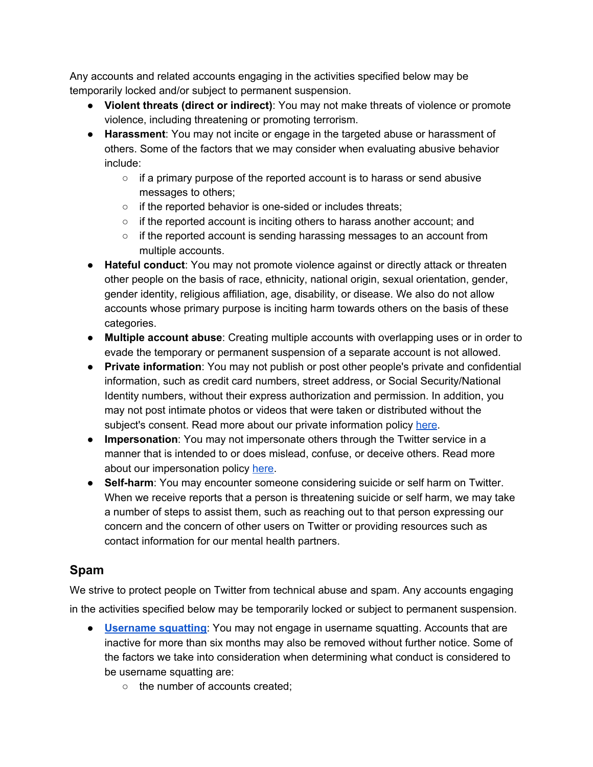Any accounts and related accounts engaging in the activities specified below may be temporarily locked and/or subject to permanent suspension.

- **Violent threats (direct or indirect)**: You may not make threats of violence or promote violence, including threatening or promoting terrorism.
- **Harassment**: You may not incite or engage in the targeted abuse or harassment of others. Some of the factors that we may consider when evaluating abusive behavior include:
	- if a primary purpose of the reported account is to harass or send abusive messages to others;
	- if the reported behavior is one-sided or includes threats;
	- $\circ$  if the reported account is inciting others to harass another account; and
	- if the reported account is sending harassing messages to an account from multiple accounts.
- **Hateful conduct**: You may not promote violence against or directly attack or threaten other people on the basis of race, ethnicity, national origin, sexual orientation, gender, gender identity, religious affiliation, age, disability, or disease. We also do not allow accounts whose primary purpose is inciting harm towards others on the basis of these categories.
- **Multiple account abuse**: Creating multiple accounts with overlapping uses or in order to evade the temporary or permanent suspension of a separate account is not allowed.
- **Private information**: You may not publish or post other people's private and confidential information, such as credit card numbers, street address, or Social Security/National Identity numbers, without their express authorization and permission. In addition, you may not post intimate photos or videos that were taken or distributed without the subject's consent. Read more about our private information polic[y](https://support.twitter.com/articles/20169991) [here.](https://support.twitter.com/articles/20169991)
- **Impersonation**: You may not impersonate others through the Twitter service in a manner that is intended to or does mislead, confuse, or deceive others. Read more about our impersonation polic[y](https://support.twitter.com/articles/18366) [here.](https://support.twitter.com/articles/18366)
- **Self-harm**: You may encounter someone considering suicide or self harm on Twitter. When we receive reports that a person is threatening suicide or self harm, we may take a number of steps to assist them, such as reaching out to that person expressing our concern and the concern of other users on Twitter or providing resources such as contact information for our mental health partners.

# **Spam**

We strive to protect people on Twitter from technical abuse and spam. Any accounts engaging in the activities specified below may be temporarily locked or subject to permanent suspension.

- **[Username](https://support.twitter.com/articles/18370) squatting**: You may not engage in username squatting. Accounts that are inactive for more than six months may also be removed without further notice. Some of the factors we take into consideration when determining what conduct is considered to be username squatting are:
	- the number of accounts created;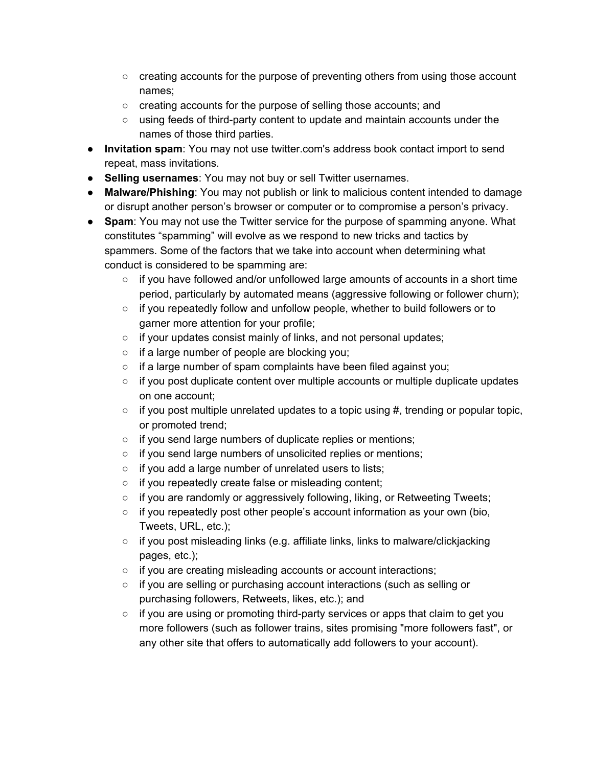- creating accounts for the purpose of preventing others from using those account names;
- creating accounts for the purpose of selling those accounts; and
- using feeds of third-party content to update and maintain accounts under the names of those third parties.
- **Invitation spam**: You may not use twitter.com's address book contact import to send repeat, mass invitations.
- **Selling usernames**: You may not buy or sell Twitter usernames.
- **Malware/Phishing**: You may not publish or link to malicious content intended to damage or disrupt another person's browser or computer or to compromise a person's privacy.
- **Spam**: You may not use the Twitter service for the purpose of spamming anyone. What constitutes "spamming" will evolve as we respond to new tricks and tactics by spammers. Some of the factors that we take into account when determining what conduct is considered to be spamming are:
	- if you have followed and/or unfollowed large amounts of accounts in a short time period, particularly by automated means (aggressive following or follower churn);
	- if you repeatedly follow and unfollow people, whether to build followers or to garner more attention for your profile;
	- if your updates consist mainly of links, and not personal updates;
	- if a large number of people are blocking you;
	- o if a large number of spam complaints have been filed against you;
	- if you post duplicate content over multiple accounts or multiple duplicate updates on one account;
	- $\circ$  if you post multiple unrelated updates to a topic using #, trending or popular topic, or promoted trend;
	- if you send large numbers of duplicate replies or mentions;
	- if you send large numbers of unsolicited replies or mentions;
	- if you add a large number of unrelated users to lists;
	- if you repeatedly create false or misleading content;
	- $\circ$  if you are randomly or aggressively following, liking, or Retweeting Tweets;
	- $\circ$  if you repeatedly post other people's account information as your own (bio, Tweets, URL, etc.);
	- $\circ$  if you post misleading links (e.g. affiliate links, links to malware/clickjacking pages, etc.);
	- if you are creating misleading accounts or account interactions;
	- if you are selling or purchasing account interactions (such as selling or purchasing followers, Retweets, likes, etc.); and
	- $\circ$  if you are using or promoting third-party services or apps that claim to get you more followers (such as follower trains, sites promising "more followers fast", or any other site that offers to automatically add followers to your account).